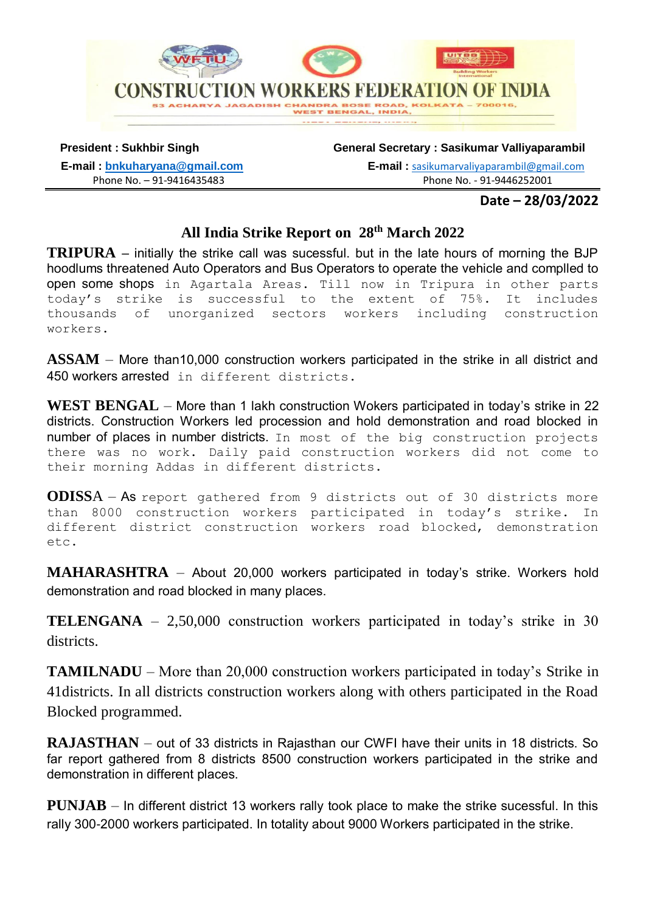

**President : Sukhbir Singh General Secretary : Sasikumar Valliyaparambil** 

**E-mail : bnkuharyana@gmail.com**<br>Phone No. – 91-9416435483<br>Phone No. - 91-9446252001 Phone No. - 91-9446252001

## **Date – 28/03/2022**

## **All India Strike Report on 28th March 2022**

**TRIPURA** – initially the strike call was sucessful. but in the late hours of morning the BJP hoodlums threatened Auto Operators and Bus Operators to operate the vehicle and complled to open some shops in Agartala Areas. Till now in Tripura in other parts today's strike is successful to the extent of 75%. It includes thousands of unorganized sectors workers including construction workers.

**ASSAM** – More than10,000 construction workers participated in the strike in all district and 450 workers arrested in different districts.

**WEST BENGAL** – More than 1 lakh construction Wokers participated in today's strike in 22 districts. Construction Workers led procession and hold demonstration and road blocked in number of places in number districts. In most of the big construction projects there was no work. Daily paid construction workers did not come to their morning Addas in different districts.

**ODISS**A – As report gathered from 9 districts out of 30 districts more than 8000 construction workers participated in today's strike. In different district construction workers road blocked, demonstration etc.

**MAHARASHTRA** – About 20,000 workers participated in today's strike. Workers hold demonstration and road blocked in many places.

**TELENGANA** – 2,50,000 construction workers participated in today's strike in 30 districts.

**TAMILNADU** – More than 20,000 construction workers participated in today's Strike in 41districts. In all districts construction workers along with others participated in the Road Blocked programmed.

**RAJASTHAN** – out of 33 districts in Rajasthan our CWFI have their units in 18 districts. So far report gathered from 8 districts 8500 construction workers participated in the strike and demonstration in different places.

**PUNJAB** – In different district 13 workers rally took place to make the strike sucessful. In this rally 300-2000 workers participated. In totality about 9000 Workers participated in the strike.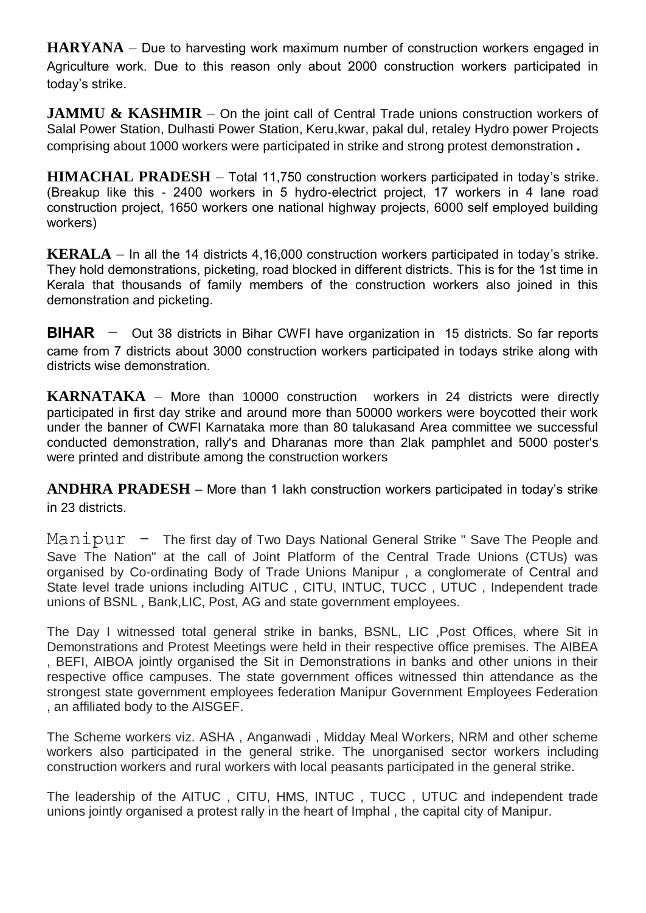**HARYANA** – Due to harvesting work maximum number of construction workers engaged in Agriculture work. Due to this reason only about 2000 construction workers participated in today's strike.

**JAMMU & KASHMIR** – On the joint call of Central Trade unions construction workers of Salal Power Station, Dulhasti Power Station, Keru,kwar, pakal dul, retaley Hydro power Projects comprising about 1000 workers were participated in strike and strong protest demonstration.

**HIMACHAL PRADESH** – Total 11,750 construction workers participated in today's strike. (Breakup like this - 2400 workers in 5 hydro-electrict project, 17 workers in 4 lane road construction project, 1650 workers one national highway projects, 6000 self employed building workers)

**KERALA** – In all the 14 districts 4,16,000 construction workers participated in today's strike. They hold demonstrations, picketing, road blocked in different districts. This is for the 1st time in Kerala that thousands of family members of the construction workers also joined in this demonstration and picketing.

**BIHAR** – Out 38 districts in Bihar CWFI have organization in 15 districts. So far reports came from 7 districts about 3000 construction workers participated in todays strike along with districts wise demonstration.

**KARNATAKA** – More than 10000 construction workers in 24 districts were directly participated in first day strike and around more than 50000 workers were boycotted their work under the banner of CWFI Karnataka more than 80 talukasand Area committee we successful conducted demonstration, rally's and Dharanas more than 2lak pamphlet and 5000 poster's were printed and distribute among the construction workers

**ANDHRA PRADESH** – More than 1 lakh construction workers participated in today's strike in 23 districts.

 $\text{Manipur}$  - The first day of Two Days National General Strike " Save The People and Save The Nation" at the call of Joint Platform of the Central Trade Unions (CTUs) was organised by Co-ordinating Body of Trade Unions Manipur , a conglomerate of Central and State level trade unions including AITUC , CITU, INTUC, TUCC , UTUC , Independent trade unions of BSNL , Bank,LIC, Post, AG and state government employees.

The Day I witnessed total general strike in banks, BSNL, LIC ,Post Offices, where Sit in Demonstrations and Protest Meetings were held in their respective office premises. The AIBEA , BEFI, AIBOA jointly organised the Sit in Demonstrations in banks and other unions in their respective office campuses. The state government offices witnessed thin attendance as the strongest state government employees federation Manipur Government Employees Federation , an affiliated body to the AISGEF.

The Scheme workers viz. ASHA , Anganwadi , Midday Meal Workers, NRM and other scheme workers also participated in the general strike. The unorganised sector workers including construction workers and rural workers with local peasants participated in the general strike.

The leadership of the AITUC , CITU, HMS, INTUC , TUCC , UTUC and independent trade unions jointly organised a protest rally in the heart of Imphal , the capital city of Manipur.